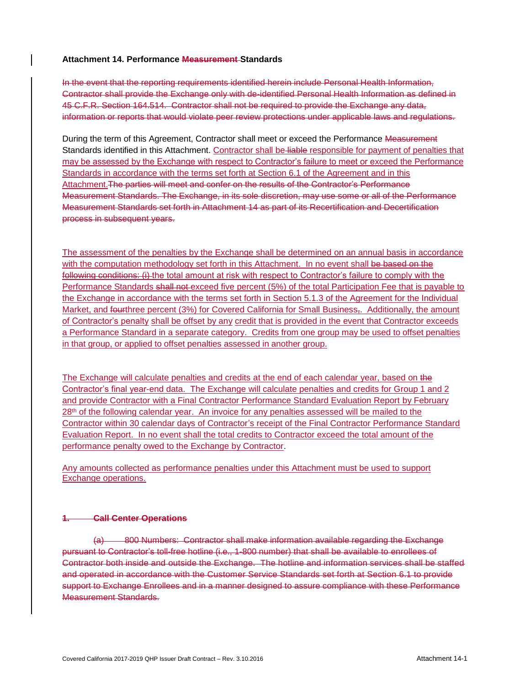#### **Attachment 14. Performance Measurement Standards**

In the event that the reporting requirements identified herein include Personal Health Information, Contractor shall provide the Exchange only with de-identified Personal Health Information as defined in 45 C.F.R. Section 164.514. Contractor shall not be required to provide the Exchange any data, information or reports that would violate peer review protections under applicable laws and regulations.

During the term of this Agreement, Contractor shall meet or exceed the Performance Measurement Standards identified in this Attachment. Contractor shall be liable responsible for payment of penalties that may be assessed by the Exchange with respect to Contractor's failure to meet or exceed the Performance Standards in accordance with the terms set forth at Section 6.1 of the Agreement and in this Attachment.The parties will meet and confer on the results of the Contractor's Performance Measurement Standards. The Exchange, in its sole discretion, may use some or all of the Performance Measurement Standards set forth in Attachment 14 as part of its Recertification and Decertification process in subsequent years.

The assessment of the penalties by the Exchange shall be determined on an annual basis in accordance with the computation methodology set forth in this Attachment. In no event shall be based on the following conditions: (i) the total amount at risk with respect to Contractor's failure to comply with the Performance Standards shall not exceed five percent (5%) of the total Participation Fee that is payable to the Exchange in accordance with the terms set forth in Section 5.1.3 of the Agreement for the Individual Market, and fourthree percent (3%) for Covered California for Small Business<sub>r</sub>. Additionally, the amount of Contractor's penalty shall be offset by any credit that is provided in the event that Contractor exceeds a Performance Standard in a separate category. Credits from one group may be used to offset penalties in that group, or applied to offset penalties assessed in another group.

The Exchange will calculate penalties and credits at the end of each calendar year, based on the Contractor's final year-end data. The Exchange will calculate penalties and credits for Group 1 and 2 and provide Contractor with a Final Contractor Performance Standard Evaluation Report by February 28<sup>th</sup> of the following calendar year. An invoice for any penalties assessed will be mailed to the Contractor within 30 calendar days of Contractor's receipt of the Final Contractor Performance Standard Evaluation Report. In no event shall the total credits to Contractor exceed the total amount of the performance penalty owed to the Exchange by Contractor.

Any amounts collected as performance penalties under this Attachment must be used to support Exchange operations.

#### **1. Call Center Operations**

(a) 800 Numbers: Contractor shall make information available regarding the Exchange pursuant to Contractor's toll-free hotline (i.e., 1-800 number) that shall be available to enrollees of Contractor both inside and outside the Exchange. The hotline and information services shall be staffed and operated in accordance with the Customer Service Standards set forth at Section 6.1 to provide support to Exchange Enrollees and in a manner designed to assure compliance with these Performance Measurement Standards.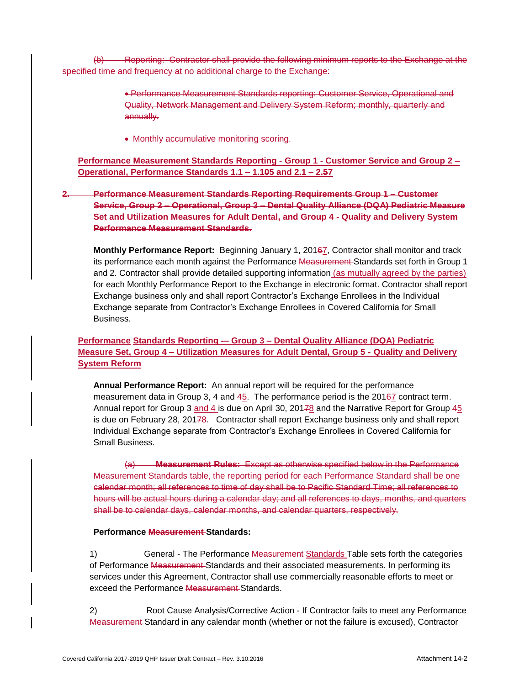(b) Reporting: Contractor shall provide the following minimum reports to the Exchange at the specified time and frequency at no additional charge to the Exchange:

> Performance Measurement Standards reporting: Customer Service, Operational and Quality, Network Management and Delivery System Reform; monthly, quarterly and annually.

• Monthly accumulative monitoring scoring.

**Performance Measurement Standards Reporting - Group 1 - Customer Service and Group 2 – Operational, Performance Standards 1.1 – 1.105 and 2.1 – 2.57**

**2. Performance Measurement Standards Reporting Requirements Group 1 – Customer Service, Group 2 – Operational, Group 3 – Dental Quality Alliance (DQA) Pediatric Measure Set and Utilization Measures for Adult Dental, and Group 4 - Quality and Delivery System Performance Measurement Standards.**

**Monthly Performance Report:** Beginning January 1, 20167, Contractor shall monitor and track its performance each month against the Performance Measurement-Standards set forth in Group 1 and 2. Contractor shall provide detailed supporting information (as mutually agreed by the parties) for each Monthly Performance Report to the Exchange in electronic format. Contractor shall report Exchange business only and shall report Contractor's Exchange Enrollees in the Individual Exchange separate from Contractor's Exchange Enrollees in Covered California for Small Business.

#### **Performance Standards Reporting -– Group 3 – Dental Quality Alliance (DQA) Pediatric Measure Set, Group 4 – Utilization Measures for Adult Dental, Group 5 - Quality and Delivery System Reform**

**Annual Performance Report:** An annual report will be required for the performance measurement data in Group 3, 4 and 45. The performance period is the 20167 contract term. Annual report for Group 3 and 4 is due on April 30, 20178 and the Narrative Report for Group 45 is due on February 28, 20178. Contractor shall report Exchange business only and shall report Individual Exchange separate from Contractor's Exchange Enrollees in Covered California for Small Business.

(a) **Measurement Rules:** Except as otherwise specified below in the Performance Measurement Standards table, the reporting period for each Performance Standard shall be one calendar month; all references to time of day shall be to Pacific Standard Time; all references to hours will be actual hours during a calendar day; and all references to days, months, and quarters shall be to calendar days, calendar months, and calendar quarters, respectively.

#### **Performance Measurement Standards:**

1) General - The Performance **Measurement-Standards Table sets forth the categories** of Performance Measurement Standards and their associated measurements. In performing its services under this Agreement, Contractor shall use commercially reasonable efforts to meet or exceed the Performance Measurement Standards.

2) Root Cause Analysis/Corrective Action - If Contractor fails to meet any Performance Measurement Standard in any calendar month (whether or not the failure is excused), Contractor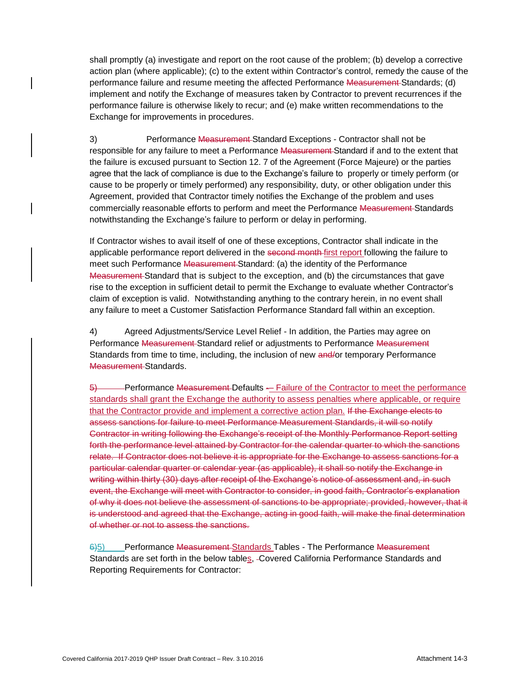shall promptly (a) investigate and report on the root cause of the problem; (b) develop a corrective action plan (where applicable); (c) to the extent within Contractor's control, remedy the cause of the performance failure and resume meeting the affected Performance Measurement Standards; (d) implement and notify the Exchange of measures taken by Contractor to prevent recurrences if the performance failure is otherwise likely to recur; and (e) make written recommendations to the Exchange for improvements in procedures.

3) Performance Measurement Standard Exceptions - Contractor shall not be responsible for any failure to meet a Performance Measurement Standard if and to the extent that the failure is excused pursuant to Section 12. 7 of the Agreement (Force Majeure) or the parties agree that the lack of compliance is due to the Exchange's failure to properly or timely perform (or cause to be properly or timely performed) any responsibility, duty, or other obligation under this Agreement, provided that Contractor timely notifies the Exchange of the problem and uses commercially reasonable efforts to perform and meet the Performance Measurement-Standards notwithstanding the Exchange's failure to perform or delay in performing.

If Contractor wishes to avail itself of one of these exceptions, Contractor shall indicate in the applicable performance report delivered in the second month first report following the failure to meet such Performance Measurement-Standard: (a) the identity of the Performance Measurement Standard that is subject to the exception, and (b) the circumstances that gave rise to the exception in sufficient detail to permit the Exchange to evaluate whether Contractor's claim of exception is valid. Notwithstanding anything to the contrary herein, in no event shall any failure to meet a Customer Satisfaction Performance Standard fall within an exception.

4) Agreed Adjustments/Service Level Relief - In addition, the Parties may agree on Performance Measurement Standard relief or adjustments to Performance Measurement Standards from time to time, including, the inclusion of new and/or temporary Performance Measurement-Standards.

5) **Performance Measurement-Defaults -- Failure of the Contractor to meet the performance** standards shall grant the Exchange the authority to assess penalties where applicable, or require that the Contractor provide and implement a corrective action plan. If the Exchange elects to assess sanctions for failure to meet Performance Measurement Standards, it will so notify Contractor in writing following the Exchange's receipt of the Monthly Performance Report setting forth the performance level attained by Contractor for the calendar quarter to which the sanctions relate. If Contractor does not believe it is appropriate for the Exchange to assess sanctions for a particular calendar quarter or calendar year (as applicable), it shall so notify the Exchange in writing within thirty (30) days after receipt of the Exchange's notice of assessment and, in such event, the Exchange will meet with Contractor to consider, in good faith, Contractor's explanation of why it does not believe the assessment of sanctions to be appropriate; provided, however, that it is understood and agreed that the Exchange, acting in good faith, will make the final determination of whether or not to assess the sanctions.

6)5) Performance Measurement-Standards Tables - The Performance Measurement Standards are set forth in the below tables, Covered California Performance Standards and Reporting Requirements for Contractor: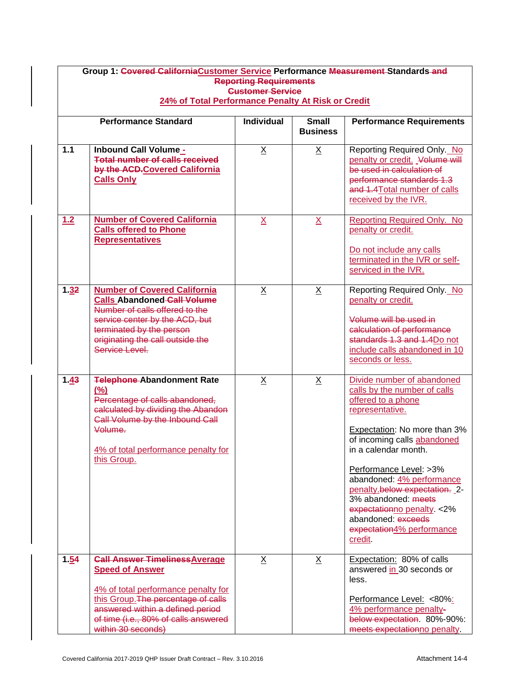| Group 1: Covered California Customer Service Performance Measurement Standards and<br><b>Reporting Requirements</b><br><b>Customer Service</b> |                                                                                                                                                                                                                                                 |                 |                 |                                                                                                                                                                                                                                                                                                                                                                                                        |  |  |  |
|------------------------------------------------------------------------------------------------------------------------------------------------|-------------------------------------------------------------------------------------------------------------------------------------------------------------------------------------------------------------------------------------------------|-----------------|-----------------|--------------------------------------------------------------------------------------------------------------------------------------------------------------------------------------------------------------------------------------------------------------------------------------------------------------------------------------------------------------------------------------------------------|--|--|--|
|                                                                                                                                                | 24% of Total Performance Penalty At Risk or Credit                                                                                                                                                                                              |                 |                 |                                                                                                                                                                                                                                                                                                                                                                                                        |  |  |  |
|                                                                                                                                                | <b>Individual</b><br><b>Small</b><br><b>Performance Requirements</b><br><b>Performance Standard</b><br><b>Business</b>                                                                                                                          |                 |                 |                                                                                                                                                                                                                                                                                                                                                                                                        |  |  |  |
| $1.1$                                                                                                                                          | Inbound Call Volume_<br><b>Total number of calls received</b><br>by the ACD-Covered California<br><b>Calls Only</b>                                                                                                                             | $\underline{X}$ | $\underline{X}$ | Reporting Required Only. No<br>penalty or credit. Volume will<br>be used in calculation of<br>performance standards 1.3<br>and 4.4Total number of calls<br>received by the IVR.                                                                                                                                                                                                                        |  |  |  |
| $1.2$                                                                                                                                          | <b>Number of Covered California</b><br><b>Calls offered to Phone</b><br><b>Representatives</b>                                                                                                                                                  | $\underline{X}$ | $\underline{X}$ | <b>Reporting Required Only. No</b><br>penalty or credit.<br>Do not include any calls<br>terminated in the IVR or self-<br>serviced in the IVR.                                                                                                                                                                                                                                                         |  |  |  |
| 1.32                                                                                                                                           | <b>Number of Covered California</b><br><b>Calls Abandoned Call Volume</b><br>Number of calls offered to the<br>service center by the ACD, but<br>terminated by the person<br>originating the call outside the<br>Service Level.                 | $\underline{X}$ | $\underline{X}$ | Reporting Required Only. No<br>penalty or credit.<br>Volume will be used in<br>calculation of performance<br>standards 1.3 and 1.4Do not<br>include calls abandoned in 10<br>seconds or less.                                                                                                                                                                                                          |  |  |  |
| 1.43                                                                                                                                           | <b>Telephone-Abandonment Rate</b><br>(%)<br>Percentage of calls abandoned,<br>calculated by dividing the Abandon<br>Call Volume by the Inbound Call<br>Volume.<br>4% of total performance penalty for<br>this Group.                            | $\underline{X}$ | $\underline{X}$ | Divide number of abandoned<br>calls by the number of calls<br>offered to a phone<br>representative.<br>Expectation: No more than 3%<br>of incoming calls abandoned<br>in a calendar month.<br>Performance Level: >3%<br>abandoned: 4% performance<br>penalty.below expectation. 2-<br>3% abandoned: meets<br>expectationno penalty. < 2%<br>abandoned: exceeds<br>expectation4% performance<br>credit. |  |  |  |
| 1.54                                                                                                                                           | <b>Call Answer Timeliness Average</b><br><b>Speed of Answer</b><br>4% of total performance penalty for<br>this Group. The percentage of calls<br>answered within a defined period<br>of time (i.e., 80% of calls answered<br>within 30 seconds) | $\underline{X}$ | $\underline{X}$ | Expectation: 80% of calls<br>answered in 30 seconds or<br>less.<br>Performance Level: <80%:<br>4% performance penalty-<br>below expectation. 80%-90%:<br>meets expectationno penalty.                                                                                                                                                                                                                  |  |  |  |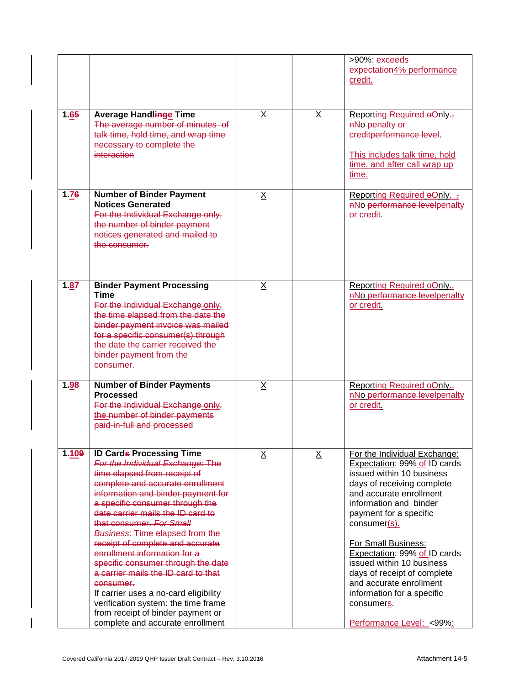|       |                                                                                                                                                                                                                                                                                                                                                                                                                                                                                                                                                                                                                                                    |                 |                 | >90%: exceeds<br>expectation4% performance<br>credit.                                                                                                                                                                                                                                                                                                                                                                                           |
|-------|----------------------------------------------------------------------------------------------------------------------------------------------------------------------------------------------------------------------------------------------------------------------------------------------------------------------------------------------------------------------------------------------------------------------------------------------------------------------------------------------------------------------------------------------------------------------------------------------------------------------------------------------------|-----------------|-----------------|-------------------------------------------------------------------------------------------------------------------------------------------------------------------------------------------------------------------------------------------------------------------------------------------------------------------------------------------------------------------------------------------------------------------------------------------------|
| 1.65  | Average Handlinge Time<br>The average number of minutes of<br>talk time, hold time, and wrap time<br>necessary to complete the<br>interaction                                                                                                                                                                                                                                                                                                                                                                                                                                                                                                      | $\underline{X}$ | $\underline{X}$ | Reporting Required oOnly. <sub>1</sub><br>ANo penalty or<br>creditperformance level.<br>This includes talk time, hold<br>time, and after call wrap up<br>time.                                                                                                                                                                                                                                                                                  |
| 1.76  | <b>Number of Binder Payment</b><br><b>Notices Generated</b><br>For the Individual Exchange only,<br>the number of binder payment<br>notices generated and mailed to<br>the consumer.                                                                                                                                                                                                                                                                                                                                                                                                                                                               | $\underline{X}$ |                 | Reporting Required $\Theta$ Only. $\frac{1}{3}$<br><b>ANo performance levelpenalty</b><br>or credit.                                                                                                                                                                                                                                                                                                                                            |
| 1.87  | <b>Binder Payment Processing</b><br><b>Time</b><br>For the Individual Exchange only,<br>the time elapsed from the date the<br>binder payment invoice was mailed<br>for a specific consumer(s) through<br>the date the carrier received the<br>binder payment from the<br>consumer.                                                                                                                                                                                                                                                                                                                                                                 | $\underline{X}$ |                 | Reporting Required oOnly. <sub>1</sub><br>ANo performance levelpenalty<br>or credit.                                                                                                                                                                                                                                                                                                                                                            |
| 1.98  | <b>Number of Binder Payments</b><br><b>Processed</b><br>For the Individual Exchange only,<br>the number of binder payments<br>paid-in-full and processed                                                                                                                                                                                                                                                                                                                                                                                                                                                                                           | $\underline{X}$ |                 | <b>Reporting Required oOnly.</b> <sub>7</sub><br>ANo performance levelpenalty<br>or credit.                                                                                                                                                                                                                                                                                                                                                     |
| 1.109 | <b>ID Cards Processing Time</b><br>For the Individual Exchange: The<br>time elapsed from receipt of<br>complete and accurate enrollment<br>information and binder payment for<br>a specific consumer through the<br>date carrier mails the ID card to<br>that consumer. For Small<br><b>Business: Time elapsed from the</b><br>receipt of complete and accurate<br>enrollment information for a<br>specific consumer through the date<br>a carrier mails the ID card to that<br>consumer.<br>If carrier uses a no-card eligibility<br>verification system: the time frame<br>from receipt of binder payment or<br>complete and accurate enrollment | X               | $\underline{X}$ | For the Individual Exchange:<br>Expectation: 99% of ID cards<br>issued within 10 business<br>days of receiving complete<br>and accurate enrollment<br>information and binder<br>payment for a specific<br>$consumer(s)$ .<br>For Small Business:<br>Expectation: 99% of ID cards<br>issued within 10 business<br>days of receipt of complete<br>and accurate enrollment<br>information for a specific<br>consumers.<br>Performance Level: <99%: |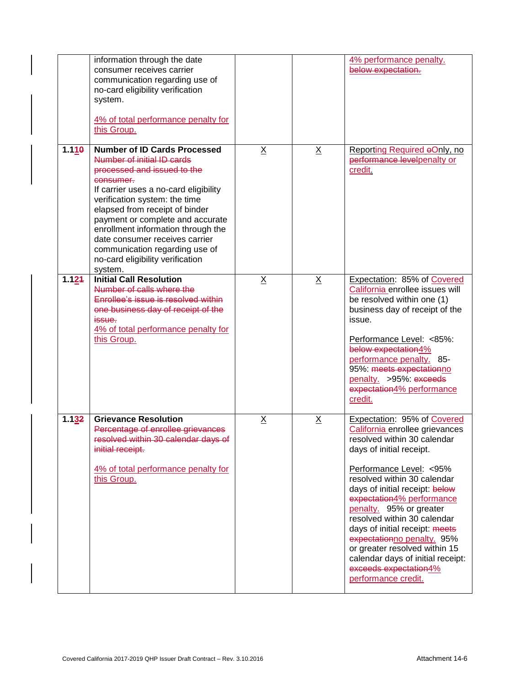|       | information through the date<br>consumer receives carrier<br>communication regarding use of<br>no-card eligibility verification<br>system.<br>4% of total performance penalty for<br>this Group.                                                                                                                                                                                                                       |                 |                 | 4% performance penalty.<br>below expectation.                                                                                                                                                                                                                                                                                                                                                                                                                                                       |
|-------|------------------------------------------------------------------------------------------------------------------------------------------------------------------------------------------------------------------------------------------------------------------------------------------------------------------------------------------------------------------------------------------------------------------------|-----------------|-----------------|-----------------------------------------------------------------------------------------------------------------------------------------------------------------------------------------------------------------------------------------------------------------------------------------------------------------------------------------------------------------------------------------------------------------------------------------------------------------------------------------------------|
| 1.110 | <b>Number of ID Cards Processed</b><br>Number of initial ID cards<br>processed and issued to the<br>consumer.<br>If carrier uses a no-card eligibility<br>verification system: the time<br>elapsed from receipt of binder<br>payment or complete and accurate<br>enrollment information through the<br>date consumer receives carrier<br>communication regarding use of<br>no-card eligibility verification<br>system. | $\underline{X}$ | $\underline{X}$ | Reporting Required oOnly, no<br>performance levelpenalty or<br>credit.                                                                                                                                                                                                                                                                                                                                                                                                                              |
| 1.124 | <b>Initial Call Resolution</b><br>Number of calls where the<br>Enrollee's issue is resolved within<br>one business day of receipt of the<br><i>issue.</i><br>4% of total performance penalty for<br>this Group.                                                                                                                                                                                                        | $\underline{X}$ | $\underline{X}$ | Expectation: 85% of Covered<br>California enrollee issues will<br>be resolved within one (1)<br>business day of receipt of the<br>issue.<br>Performance Level: <85%:<br>below expectation4%<br>performance penalty. 85-<br>95%: meets expectationno<br>penalty. >95%: exceeds<br>expectation4% performance<br>credit.                                                                                                                                                                               |
| 1.132 | <b>Grievance Resolution</b><br>Percentage of enrollee grievances<br>resolved within 30 calendar days of<br>initial receipt.<br>4% of total performance penalty for<br>this Group.                                                                                                                                                                                                                                      | $\underline{X}$ | $\underline{X}$ | Expectation: 95% of Covered<br>California enrollee grievances<br>resolved within 30 calendar.<br>days of initial receipt.<br>Performance Level: < 95%<br>resolved within 30 calendar<br>days of initial receipt: below<br>expectation4% performance<br>penalty. 95% or greater<br>resolved within 30 calendar<br>days of initial receipt: meets<br>expectationno penalty. 95%<br>or greater resolved within 15<br>calendar days of initial receipt:<br>exceeds expectation4%<br>performance credit. |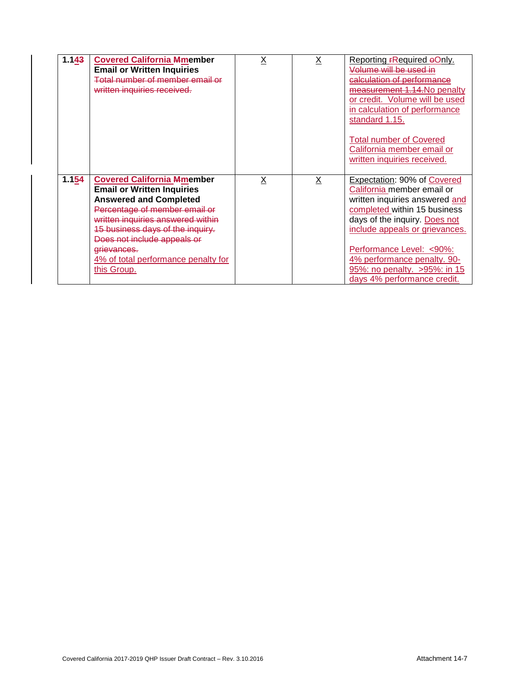| 1.143 | <b>Covered California Mmember</b><br><b>Email or Written Inquiries</b><br>Total number of member email or<br>written inquiries received.                                                                                                                                                                              | Χ | Χ | Reporting <b>FRequired oOnly</b> .<br>Volume will be used in<br>calculation of performance<br>measurement 1.14. No penalty<br>or credit. Volume will be used<br>in calculation of performance<br>standard 1.15.                                                                                                           |
|-------|-----------------------------------------------------------------------------------------------------------------------------------------------------------------------------------------------------------------------------------------------------------------------------------------------------------------------|---|---|---------------------------------------------------------------------------------------------------------------------------------------------------------------------------------------------------------------------------------------------------------------------------------------------------------------------------|
|       |                                                                                                                                                                                                                                                                                                                       |   |   | <b>Total number of Covered</b><br>California member email or<br>written inquiries received.                                                                                                                                                                                                                               |
| 1.154 | <b>Covered California Mmember</b><br><b>Email or Written Inquiries</b><br><b>Answered and Completed</b><br>Percentage of member email or<br>written inquiries answered within<br>15 business days of the inquiry.<br>Does not include appeals or<br>grievances.<br>4% of total performance penalty for<br>this Group. | Χ | X | Expectation: 90% of Covered<br>California member email or<br>written inquiries answered and<br>completed within 15 business<br>days of the inquiry. Does not<br>include appeals or grievances.<br>Performance Level: <90%:<br>4% performance penalty. 90-<br>95%: no penalty. > 95%: in 15<br>days 4% performance credit. |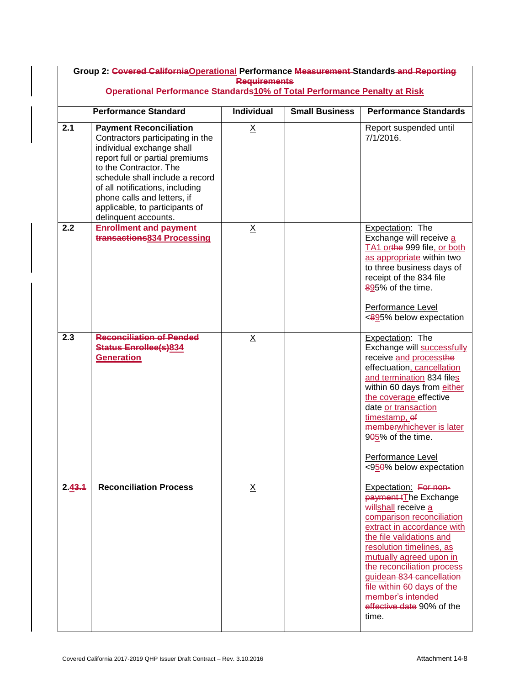| Group 2: Covered California Operational Performance Measurement Standards and Reporting<br><b>Requirements</b> |                                                                                                                                                                                                                                                                                                                            |                   |                       |                                                                                                                                                                                                                                                                                                                                                                        |  |
|----------------------------------------------------------------------------------------------------------------|----------------------------------------------------------------------------------------------------------------------------------------------------------------------------------------------------------------------------------------------------------------------------------------------------------------------------|-------------------|-----------------------|------------------------------------------------------------------------------------------------------------------------------------------------------------------------------------------------------------------------------------------------------------------------------------------------------------------------------------------------------------------------|--|
|                                                                                                                | Operational Performance Standards10% of Total Performance Penalty at Risk                                                                                                                                                                                                                                                  |                   |                       |                                                                                                                                                                                                                                                                                                                                                                        |  |
|                                                                                                                | <b>Performance Standard</b>                                                                                                                                                                                                                                                                                                | <b>Individual</b> | <b>Small Business</b> | <b>Performance Standards</b>                                                                                                                                                                                                                                                                                                                                           |  |
| 2.1                                                                                                            | <b>Payment Reconciliation</b><br>Contractors participating in the<br>individual exchange shall<br>report full or partial premiums<br>to the Contractor. The<br>schedule shall include a record<br>of all notifications, including<br>phone calls and letters, if<br>applicable, to participants of<br>delinquent accounts. | $\underline{X}$   |                       | Report suspended until<br>$7/1/2016$ .                                                                                                                                                                                                                                                                                                                                 |  |
| 2.2                                                                                                            | <b>Enrollment and payment</b><br>transactions834 Processing                                                                                                                                                                                                                                                                | X                 |                       | Expectation: The<br>Exchange will receive a<br>TA1 orthe 999 file, or both<br>as appropriate within two<br>to three business days of<br>receipt of the 834 file<br>895% of the time.<br>Performance Level<br><895% below expectation                                                                                                                                   |  |
| 2.3                                                                                                            | <b>Reconciliation of Pended</b><br><b>Status Enrollee(s)834</b><br><b>Generation</b>                                                                                                                                                                                                                                       | $\underline{X}$   |                       | Expectation: The<br>Exchange will successfully<br>receive and processthe<br>effectuation, cancellation<br>and termination 834 files<br>within 60 days from either<br>the coverage effective<br>date or transaction<br>timestamp, of<br>memberwhichever is later<br>9 <del>0</del> 5% of the time.<br>Performance Level<br><950% below expectation                      |  |
| 2.43.4                                                                                                         | <b>Reconciliation Process</b>                                                                                                                                                                                                                                                                                              | $\underline{X}$   |                       | Expectation: For non-<br>payment tThe Exchange<br>willshall receive a<br>comparison reconciliation<br>extract in accordance with<br>the file validations and<br>resolution timelines, as<br>mutually agreed upon in<br>the reconciliation process<br>guidean 834 cancellation<br>file within 60 days of the<br>member's intended<br>effective date 90% of the<br>time. |  |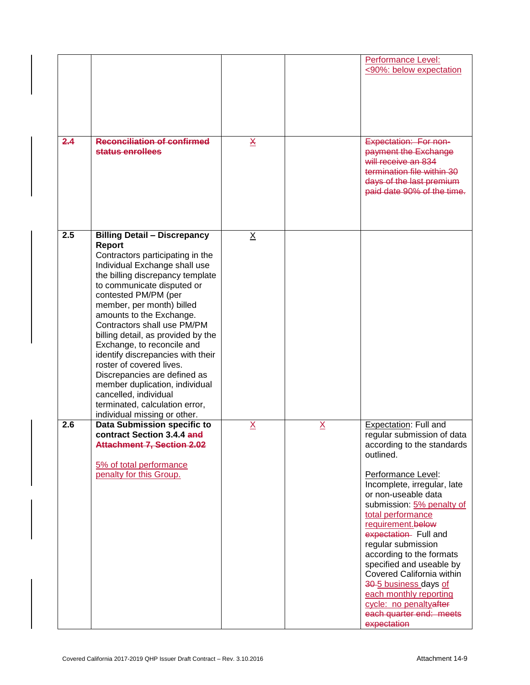|     |                                                                                                                                                                                                                                                                                                                                                                                                                                                                                                                                                                                                        |                         |                 | <b>Performance Level:</b><br><90%: below expectation                                                                                                                                                                                                                                                                                                                                                                                                                                                        |
|-----|--------------------------------------------------------------------------------------------------------------------------------------------------------------------------------------------------------------------------------------------------------------------------------------------------------------------------------------------------------------------------------------------------------------------------------------------------------------------------------------------------------------------------------------------------------------------------------------------------------|-------------------------|-----------------|-------------------------------------------------------------------------------------------------------------------------------------------------------------------------------------------------------------------------------------------------------------------------------------------------------------------------------------------------------------------------------------------------------------------------------------------------------------------------------------------------------------|
| 2.4 | <b>Reconciliation of confirmed</b><br>status enrollees                                                                                                                                                                                                                                                                                                                                                                                                                                                                                                                                                 | $\overline{\mathbf{X}}$ |                 | Expectation: For non-<br>payment the Exchange<br>will receive an 834<br>termination file within 30<br>days of the last premium<br>paid date 90% of the time.                                                                                                                                                                                                                                                                                                                                                |
| 2.5 | <b>Billing Detail - Discrepancy</b><br>Report<br>Contractors participating in the<br>Individual Exchange shall use<br>the billing discrepancy template<br>to communicate disputed or<br>contested PM/PM (per<br>member, per month) billed<br>amounts to the Exchange.<br>Contractors shall use PM/PM<br>billing detail, as provided by the<br>Exchange, to reconcile and<br>identify discrepancies with their<br>roster of covered lives.<br>Discrepancies are defined as<br>member duplication, individual<br>cancelled, individual<br>terminated, calculation error,<br>individual missing or other. | $\underline{X}$         |                 |                                                                                                                                                                                                                                                                                                                                                                                                                                                                                                             |
| 2.6 | Data Submission specific to<br>contract Section 3.4.4 and<br><b>Attachment 7, Section 2.02</b><br>5% of total performance<br>penalty for this Group.                                                                                                                                                                                                                                                                                                                                                                                                                                                   | $\underline{X}$         | $\underline{X}$ | Expectation: Full and<br>regular submission of data<br>according to the standards<br>outlined.<br>Performance Level:<br>Incomplete, irregular, late<br>or non-useable data<br>submission: 5% penalty of<br>total performance<br>requirement.below<br>expectation Full and<br>regular submission<br>according to the formats<br>specified and useable by<br>Covered California within<br>30-5 business days of<br>each monthly reporting<br>cycle: no penaltyafter<br>each quarter end: meets<br>expectation |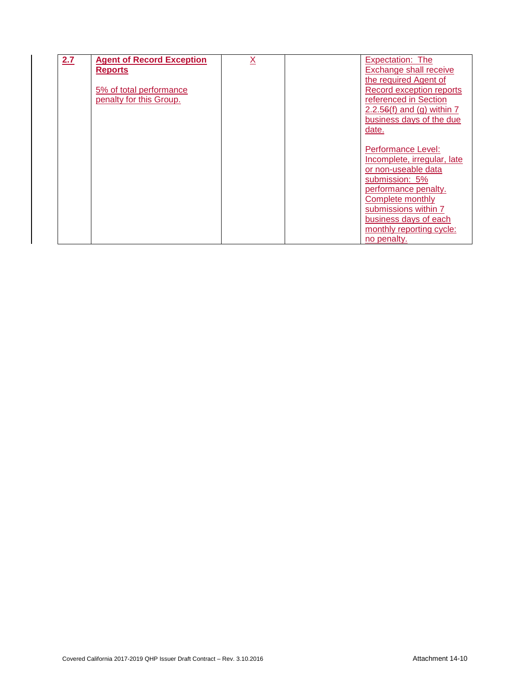| 2.7 | <b>Agent of Record Exception</b> | $\underline{X}$ | Expectation: The             |
|-----|----------------------------------|-----------------|------------------------------|
|     | <b>Reports</b>                   |                 | Exchange shall receive       |
|     |                                  |                 | the required Agent of        |
|     | 5% of total performance          |                 | Record exception reports     |
|     | penalty for this Group.          |                 | referenced in Section        |
|     |                                  |                 | $2.2.56(f)$ and (g) within 7 |
|     |                                  |                 | business days of the due     |
|     |                                  |                 | date.                        |
|     |                                  |                 |                              |
|     |                                  |                 | Performance Level:           |
|     |                                  |                 | Incomplete, irregular, late  |
|     |                                  |                 | or non-useable data          |
|     |                                  |                 | submission: 5%               |
|     |                                  |                 | performance penalty.         |
|     |                                  |                 | Complete monthly             |
|     |                                  |                 | submissions within 7         |
|     |                                  |                 | business days of each        |
|     |                                  |                 | monthly reporting cycle:     |
|     |                                  |                 | no penalty.                  |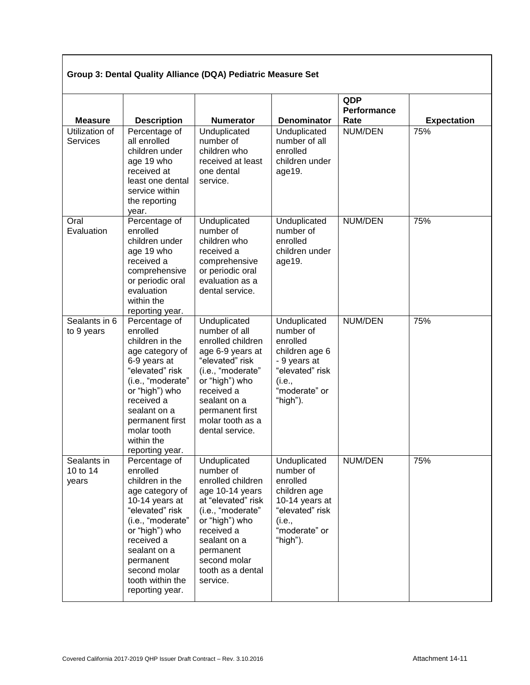# **Group 3: Dental Quality Alliance (DQA) Pediatric Measure Set**

| <b>Measure</b>                    | <b>Description</b>                                                                                                                                                                                                                            | <b>Numerator</b>                                                                                                                                                                                                           | <b>Denominator</b>                                                                                                                | QDP<br>Performance<br>Rate | <b>Expectation</b> |
|-----------------------------------|-----------------------------------------------------------------------------------------------------------------------------------------------------------------------------------------------------------------------------------------------|----------------------------------------------------------------------------------------------------------------------------------------------------------------------------------------------------------------------------|-----------------------------------------------------------------------------------------------------------------------------------|----------------------------|--------------------|
| Utilization of<br><b>Services</b> | Percentage of<br>all enrolled<br>children under<br>age 19 who<br>received at<br>least one dental<br>service within<br>the reporting<br>year.                                                                                                  | Unduplicated<br>number of<br>children who<br>received at least<br>one dental<br>service.                                                                                                                                   | Unduplicated<br>number of all<br>enrolled<br>children under<br>age19.                                                             | NUM/DEN                    | 75%                |
| Oral<br>Evaluation                | Percentage of<br>enrolled<br>children under<br>age 19 who<br>received a<br>comprehensive<br>or periodic oral<br>evaluation<br>within the<br>reporting year.                                                                                   | Unduplicated<br>number of<br>children who<br>received a<br>comprehensive<br>or periodic oral<br>evaluation as a<br>dental service.                                                                                         | Unduplicated<br>number of<br>enrolled<br>children under<br>age19.                                                                 | NUM/DEN                    | 75%                |
| Sealants in 6<br>to 9 years       | Percentage of<br>enrolled<br>children in the<br>age category of<br>6-9 years at<br>"elevated" risk<br>(i.e., "moderate"<br>or "high") who<br>received a<br>sealant on a<br>permanent first<br>molar tooth<br>within the<br>reporting year.    | Unduplicated<br>number of all<br>enrolled children<br>age 6-9 years at<br>"elevated" risk<br>(i.e., "moderate"<br>or "high") who<br>received a<br>sealant on a<br>permanent first<br>molar tooth as a<br>dental service.   | Unduplicated<br>number of<br>enrolled<br>children age 6<br>- 9 years at<br>"elevated" risk<br>(i.e.,<br>"moderate" or<br>"high"). | NUM/DEN                    | 75%                |
| Sealants in<br>10 to 14<br>years  | Percentage of<br>enrolled<br>children in the<br>age category of<br>10-14 years at<br>"elevated" risk<br>(i.e., "moderate"<br>or "high") who<br>received a<br>sealant on a<br>permanent<br>second molar<br>tooth within the<br>reporting year. | Unduplicated<br>number of<br>enrolled children<br>age 10-14 years<br>at "elevated" risk<br>(i.e., "moderate"<br>or "high") who<br>received a<br>sealant on a<br>permanent<br>second molar<br>tooth as a dental<br>service. | Unduplicated<br>number of<br>enrolled<br>children age<br>10-14 years at<br>"elevated" risk<br>(i.e.,<br>"moderate" or<br>"high"). | NUM/DEN                    | 75%                |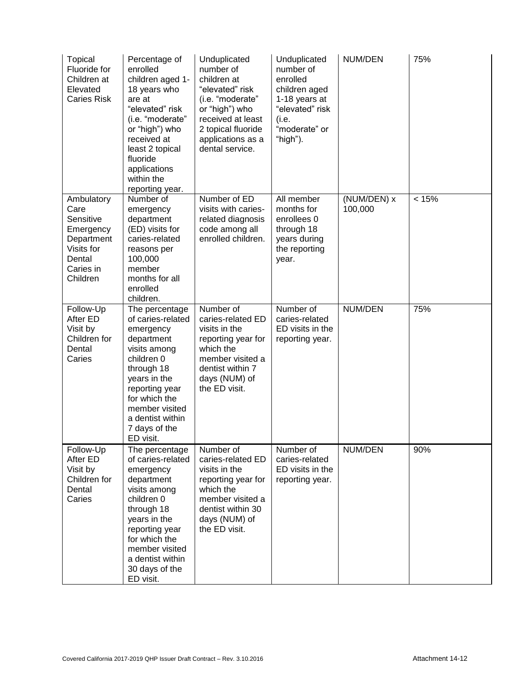| <b>Topical</b><br>Fluoride for<br>Children at<br>Elevated<br><b>Caries Risk</b>                             | Percentage of<br>enrolled<br>children aged 1-<br>18 years who<br>are at<br>"elevated" risk<br>(i.e. "moderate"<br>or "high") who<br>received at<br>least 2 topical<br>fluoride<br>applications<br>within the<br>reporting year.    | Unduplicated<br>number of<br>children at<br>"elevated" risk<br>(i.e. "moderate"<br>or "high") who<br>received at least<br>2 topical fluoride<br>applications as a<br>dental service. | Unduplicated<br>number of<br>enrolled<br>children aged<br>1-18 years at<br>"elevated" risk<br>(i.e.<br>"moderate" or<br>"high"). | NUM/DEN                | 75%   |
|-------------------------------------------------------------------------------------------------------------|------------------------------------------------------------------------------------------------------------------------------------------------------------------------------------------------------------------------------------|--------------------------------------------------------------------------------------------------------------------------------------------------------------------------------------|----------------------------------------------------------------------------------------------------------------------------------|------------------------|-------|
| Ambulatory<br>Care<br>Sensitive<br>Emergency<br>Department<br>Visits for<br>Dental<br>Caries in<br>Children | Number of<br>emergency<br>department<br>(ED) visits for<br>caries-related<br>reasons per<br>100,000<br>member<br>months for all<br>enrolled<br>children.                                                                           | Number of ED<br>visits with caries-<br>related diagnosis<br>code among all<br>enrolled children.                                                                                     | All member<br>months for<br>enrollees 0<br>through 18<br>years during<br>the reporting<br>year.                                  | (NUM/DEN) x<br>100,000 | < 15% |
| Follow-Up<br>After ED<br>Visit by<br>Children for<br>Dental<br>Caries                                       | The percentage<br>of caries-related<br>emergency<br>department<br>visits among<br>children 0<br>through 18<br>years in the<br>reporting year<br>for which the<br>member visited<br>a dentist within<br>7 days of the<br>ED visit.  | Number of<br>caries-related ED<br>visits in the<br>reporting year for<br>which the<br>member visited a<br>dentist within 7<br>days (NUM) of<br>the ED visit.                         | Number of<br>caries-related<br>ED visits in the<br>reporting year.                                                               | NUM/DEN                | 75%   |
| Follow-Up<br>After ED<br>Visit by<br>Children for<br>Dental<br>Caries                                       | The percentage<br>of caries-related<br>emergency<br>department<br>visits among<br>children 0<br>through 18<br>years in the<br>reporting year<br>for which the<br>member visited<br>a dentist within<br>30 days of the<br>ED visit. | Number of<br>caries-related ED<br>visits in the<br>reporting year for<br>which the<br>member visited a<br>dentist within 30<br>days (NUM) of<br>the ED visit.                        | Number of<br>caries-related<br>ED visits in the<br>reporting year.                                                               | NUM/DEN                | 90%   |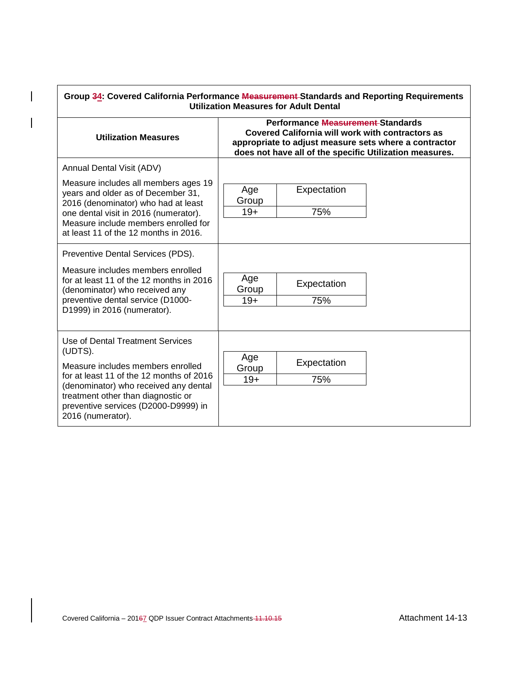| Performance Measurement-Standards                                                                                                                                                                                                           |                                                                                                                                                                      |                    |  |  |
|---------------------------------------------------------------------------------------------------------------------------------------------------------------------------------------------------------------------------------------------|----------------------------------------------------------------------------------------------------------------------------------------------------------------------|--------------------|--|--|
| <b>Utilization Measures</b>                                                                                                                                                                                                                 | Covered California will work with contractors as<br>appropriate to adjust measure sets where a contractor<br>does not have all of the specific Utilization measures. |                    |  |  |
| Annual Dental Visit (ADV)                                                                                                                                                                                                                   |                                                                                                                                                                      |                    |  |  |
| Measure includes all members ages 19<br>years and older as of December 31,<br>2016 (denominator) who had at least<br>one dental visit in 2016 (numerator).<br>Measure include members enrolled for<br>at least 11 of the 12 months in 2016. | Age<br>Group<br>$19+$                                                                                                                                                | Expectation<br>75% |  |  |
| Preventive Dental Services (PDS).                                                                                                                                                                                                           |                                                                                                                                                                      |                    |  |  |
| Measure includes members enrolled<br>for at least 11 of the 12 months in 2016<br>(denominator) who received any                                                                                                                             | Age<br>Group                                                                                                                                                         | Expectation        |  |  |
| preventive dental service (D1000-<br>D1999) in 2016 (numerator).                                                                                                                                                                            | $19+$                                                                                                                                                                | 75%                |  |  |
| Use of Dental Treatment Services                                                                                                                                                                                                            |                                                                                                                                                                      |                    |  |  |
| (UDTS).<br>Measure includes members enrolled                                                                                                                                                                                                | Age<br>Group                                                                                                                                                         | Expectation        |  |  |
| for at least 11 of the 12 months of 2016                                                                                                                                                                                                    | $19+$                                                                                                                                                                | 75%                |  |  |
| (denominator) who received any dental<br>treatment other than diagnostic or<br>preventive services (D2000-D9999) in<br>2016 (numerator).                                                                                                    |                                                                                                                                                                      |                    |  |  |

 $\begin{array}{c} \rule{0pt}{2ex} \rule{0pt}{2ex} \rule{0pt}{2ex} \rule{0pt}{2ex} \rule{0pt}{2ex} \rule{0pt}{2ex} \rule{0pt}{2ex} \rule{0pt}{2ex} \rule{0pt}{2ex} \rule{0pt}{2ex} \rule{0pt}{2ex} \rule{0pt}{2ex} \rule{0pt}{2ex} \rule{0pt}{2ex} \rule{0pt}{2ex} \rule{0pt}{2ex} \rule{0pt}{2ex} \rule{0pt}{2ex} \rule{0pt}{2ex} \rule{0pt}{2ex} \rule{0pt}{2ex} \rule{0pt}{2ex} \rule{0pt}{2ex} \rule{0pt}{$ 

 $\overline{\phantom{a}}$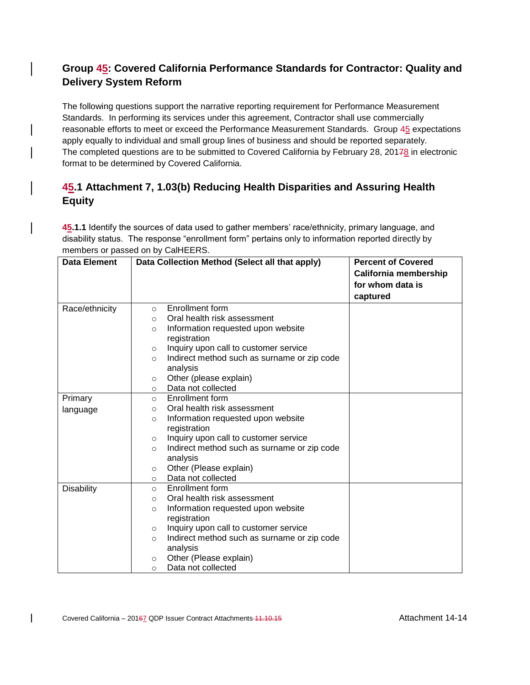# **Group 45: Covered California Performance Standards for Contractor: Quality and Delivery System Reform**

The following questions support the narrative reporting requirement for Performance Measurement Standards. In performing its services under this agreement, Contractor shall use commercially reasonable efforts to meet or exceed the Performance Measurement Standards. Group 45 expectations apply equally to individual and small group lines of business and should be reported separately. The completed questions are to be submitted to Covered California by February 28, 20178 in electronic format to be determined by Covered California.

# **45.1 Attachment 7, 1.03(b) Reducing Health Disparities and Assuring Health Equity**

**45.1.1** Identify the sources of data used to gather members' race/ethnicity, primary language, and disability status. The response "enrollment form" pertains only to information reported directly by members or passed on by CalHEERS.

| <b>Data Element</b> |         | Data Collection Method (Select all that apply) | <b>Percent of Covered</b> |
|---------------------|---------|------------------------------------------------|---------------------------|
|                     |         |                                                | California membership     |
|                     |         |                                                | for whom data is          |
|                     |         |                                                | captured                  |
| Race/ethnicity      | $\circ$ | <b>Enrollment form</b>                         |                           |
|                     | $\circ$ | Oral health risk assessment                    |                           |
|                     | O       | Information requested upon website             |                           |
|                     |         | registration                                   |                           |
|                     | $\circ$ | Inquiry upon call to customer service          |                           |
|                     | $\circ$ | Indirect method such as surname or zip code    |                           |
|                     |         | analysis                                       |                           |
|                     | $\circ$ | Other (please explain)                         |                           |
|                     | $\circ$ | Data not collected                             |                           |
| Primary             | $\circ$ | Enrollment form                                |                           |
| language            | $\circ$ | Oral health risk assessment                    |                           |
|                     | O       | Information requested upon website             |                           |
|                     |         | registration                                   |                           |
|                     | $\circ$ | Inquiry upon call to customer service          |                           |
|                     | O       | Indirect method such as surname or zip code    |                           |
|                     |         | analysis                                       |                           |
|                     | $\circ$ | Other (Please explain)                         |                           |
|                     | O       | Data not collected                             |                           |
| <b>Disability</b>   | $\circ$ | Enrollment form                                |                           |
|                     | $\circ$ | Oral health risk assessment                    |                           |
|                     | O       | Information requested upon website             |                           |
|                     |         | registration                                   |                           |
|                     | $\circ$ | Inquiry upon call to customer service          |                           |
|                     | O       | Indirect method such as surname or zip code    |                           |
|                     |         | analysis                                       |                           |
|                     | $\circ$ | Other (Please explain)                         |                           |
|                     | $\circ$ | Data not collected                             |                           |

 $\mathsf{l}$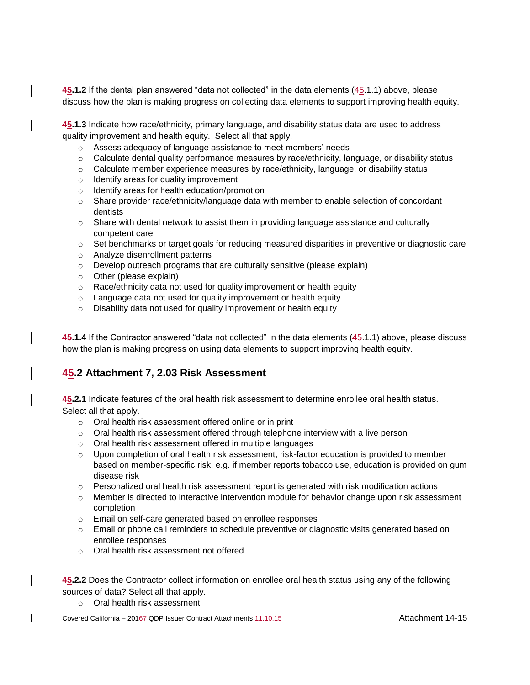**45.1.2** If the dental plan answered "data not collected" in the data elements (45.1.1) above, please discuss how the plan is making progress on collecting data elements to support improving health equity.

**45.1.3** Indicate how race/ethnicity, primary language, and disability status data are used to address quality improvement and health equity. Select all that apply.

- o Assess adequacy of language assistance to meet members' needs
- $\circ$  Calculate dental quality performance measures by race/ethnicity, language, or disability status
- $\circ$  Calculate member experience measures by race/ethnicity, language, or disability status
- o Identify areas for quality improvement
- o Identify areas for health education/promotion
- $\circ$  Share provider race/ethnicity/language data with member to enable selection of concordant dentists
- $\circ$  Share with dental network to assist them in providing language assistance and culturally competent care
- $\circ$  Set benchmarks or target goals for reducing measured disparities in preventive or diagnostic care
- o Analyze disenrollment patterns
- o Develop outreach programs that are culturally sensitive (please explain)
- o Other (please explain)
- o Race/ethnicity data not used for quality improvement or health equity
- o Language data not used for quality improvement or health equity
- o Disability data not used for quality improvement or health equity

**45.1.4** If the Contractor answered "data not collected" in the data elements (45.1.1) above, please discuss how the plan is making progress on using data elements to support improving health equity.

## **45.2 Attachment 7, 2.03 Risk Assessment**

**45.2.1** Indicate features of the oral health risk assessment to determine enrollee oral health status. Select all that apply.

- o Oral health risk assessment offered online or in print
- o Oral health risk assessment offered through telephone interview with a live person
- o Oral health risk assessment offered in multiple languages
- $\circ$  Upon completion of oral health risk assessment, risk-factor education is provided to member based on member-specific risk, e.g. if member reports tobacco use, education is provided on gum disease risk
- $\circ$  Personalized oral health risk assessment report is generated with risk modification actions
- $\circ$  Member is directed to interactive intervention module for behavior change upon risk assessment completion
- o Email on self-care generated based on enrollee responses
- o Email or phone call reminders to schedule preventive or diagnostic visits generated based on enrollee responses
- o Oral health risk assessment not offered

**45.2.2** Does the Contractor collect information on enrollee oral health status using any of the following sources of data? Select all that apply.

o Oral health risk assessment

Covered California – 20167 QDP Issuer Contract Attachments 11.10.15 Attachment 14-15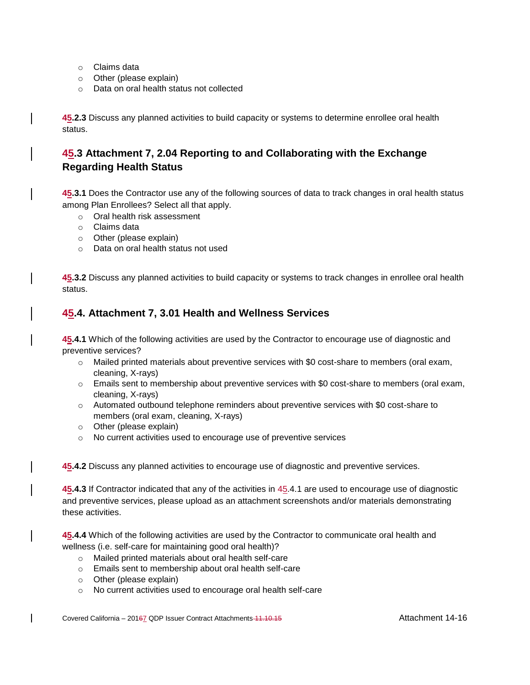- o Claims data
- o Other (please explain)
- o Data on oral health status not collected

**45.2.3** Discuss any planned activities to build capacity or systems to determine enrollee oral health status.

### **45.3 Attachment 7, 2.04 Reporting to and Collaborating with the Exchange Regarding Health Status**

**45.3.1** Does the Contractor use any of the following sources of data to track changes in oral health status among Plan Enrollees? Select all that apply.

- o Oral health risk assessment
- o Claims data
- o Other (please explain)
- o Data on oral health status not used

**45.3.2** Discuss any planned activities to build capacity or systems to track changes in enrollee oral health status.

#### **45.4. Attachment 7, 3.01 Health and Wellness Services**

**45.4.1** Which of the following activities are used by the Contractor to encourage use of diagnostic and preventive services?

- $\circ$  Mailed printed materials about preventive services with \$0 cost-share to members (oral exam, cleaning, X-rays)
- $\circ$  Emails sent to membership about preventive services with \$0 cost-share to members (oral exam, cleaning, X-rays)
- $\circ$  Automated outbound telephone reminders about preventive services with \$0 cost-share to members (oral exam, cleaning, X-rays)
- o Other (please explain)
- o No current activities used to encourage use of preventive services

**45.4.2** Discuss any planned activities to encourage use of diagnostic and preventive services.

**45.4.3** If Contractor indicated that any of the activities in 45.4.1 are used to encourage use of diagnostic and preventive services, please upload as an attachment screenshots and/or materials demonstrating these activities.

**45.4.4** Which of the following activities are used by the Contractor to communicate oral health and wellness (i.e. self-care for maintaining good oral health)?

- o Mailed printed materials about oral health self-care
- o Emails sent to membership about oral health self-care
- o Other (please explain)
- o No current activities used to encourage oral health self-care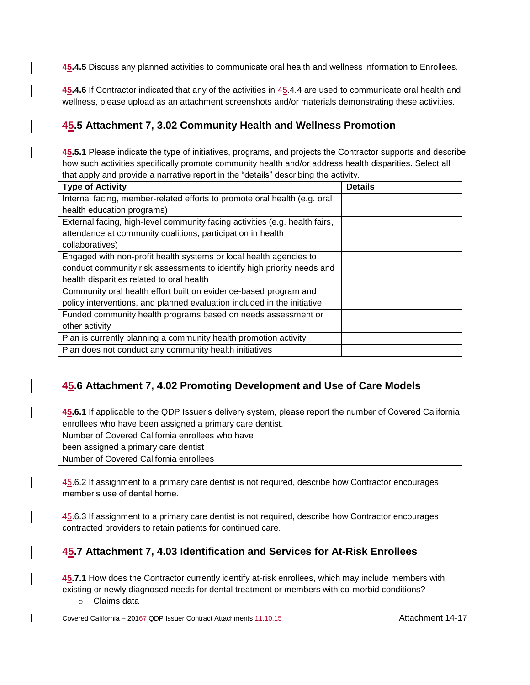**45.4.5** Discuss any planned activities to communicate oral health and wellness information to Enrollees.

**45.4.6** If Contractor indicated that any of the activities in 45.4.4 are used to communicate oral health and wellness, please upload as an attachment screenshots and/or materials demonstrating these activities.

### **45.5 Attachment 7, 3.02 Community Health and Wellness Promotion**

**45.5.1** Please indicate the type of initiatives, programs, and projects the Contractor supports and describe how such activities specifically promote community health and/or address health disparities. Select all that apply and provide a narrative report in the "details" describing the activity.

| <b>Type of Activity</b>                                                     | <b>Details</b> |
|-----------------------------------------------------------------------------|----------------|
| Internal facing, member-related efforts to promote oral health (e.g. oral   |                |
| health education programs)                                                  |                |
| External facing, high-level community facing activities (e.g. health fairs, |                |
| attendance at community coalitions, participation in health                 |                |
| collaboratives)                                                             |                |
| Engaged with non-profit health systems or local health agencies to          |                |
| conduct community risk assessments to identify high priority needs and      |                |
| health disparities related to oral health                                   |                |
| Community oral health effort built on evidence-based program and            |                |
| policy interventions, and planned evaluation included in the initiative     |                |
| Funded community health programs based on needs assessment or               |                |
| other activity                                                              |                |
| Plan is currently planning a community health promotion activity            |                |
| Plan does not conduct any community health initiatives                      |                |

# **45.6 Attachment 7, 4.02 Promoting Development and Use of Care Models**

**45.6.1** If applicable to the QDP Issuer's delivery system, please report the number of Covered California enrollees who have been assigned a primary care dentist.

| Number of Covered California enrollees who have |  |
|-------------------------------------------------|--|
| been assigned a primary care dentist            |  |
| Number of Covered California enrollees          |  |

45.6.2 If assignment to a primary care dentist is not required, describe how Contractor encourages member's use of dental home.

45.6.3 If assignment to a primary care dentist is not required, describe how Contractor encourages contracted providers to retain patients for continued care.

## **45.7 Attachment 7, 4.03 Identification and Services for At-Risk Enrollees**

**45.7.1** How does the Contractor currently identify at-risk enrollees, which may include members with existing or newly diagnosed needs for dental treatment or members with co-morbid conditions?

o Claims data

Covered California – 20167 QDP Issuer Contract Attachments 11.10.15 Attachment 14-17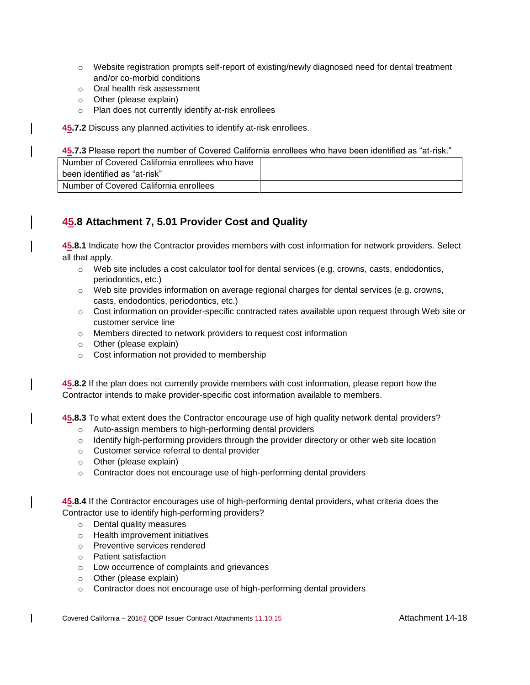- o Website registration prompts self-report of existing/newly diagnosed need for dental treatment and/or co-morbid conditions
- o Oral health risk assessment
- o Other (please explain)
- o Plan does not currently identify at-risk enrollees

**45.7.2** Discuss any planned activities to identify at-risk enrollees.

**45.7.3** Please report the number of Covered California enrollees who have been identified as "at-risk."

| Number of Covered California enrollees who have |  |
|-------------------------------------------------|--|
| ⊢been identified as "at-risk"                   |  |
| Number of Covered California enrollees          |  |

#### **45.8 Attachment 7, 5.01 Provider Cost and Quality**

**45.8.1** Indicate how the Contractor provides members with cost information for network providers. Select all that apply.

- $\circ$  Web site includes a cost calculator tool for dental services (e.g. crowns, casts, endodontics, periodontics, etc.)
- o Web site provides information on average regional charges for dental services (e.g. crowns, casts, endodontics, periodontics, etc.)
- o Cost information on provider-specific contracted rates available upon request through Web site or customer service line
- o Members directed to network providers to request cost information
- o Other (please explain)
- o Cost information not provided to membership

**45.8.2** If the plan does not currently provide members with cost information, please report how the Contractor intends to make provider-specific cost information available to members.

**45.8.3** To what extent does the Contractor encourage use of high quality network dental providers?

- o Auto-assign members to high-performing dental providers
- $\circ$  Identify high-performing providers through the provider directory or other web site location
- o Customer service referral to dental provider
- o Other (please explain)
- $\circ$  Contractor does not encourage use of high-performing dental providers

**45.8.4** If the Contractor encourages use of high-performing dental providers, what criteria does the Contractor use to identify high-performing providers?

- o Dental quality measures
- o Health improvement initiatives
- o Preventive services rendered
- o Patient satisfaction
- o Low occurrence of complaints and grievances
- o Other (please explain)
- o Contractor does not encourage use of high-performing dental providers